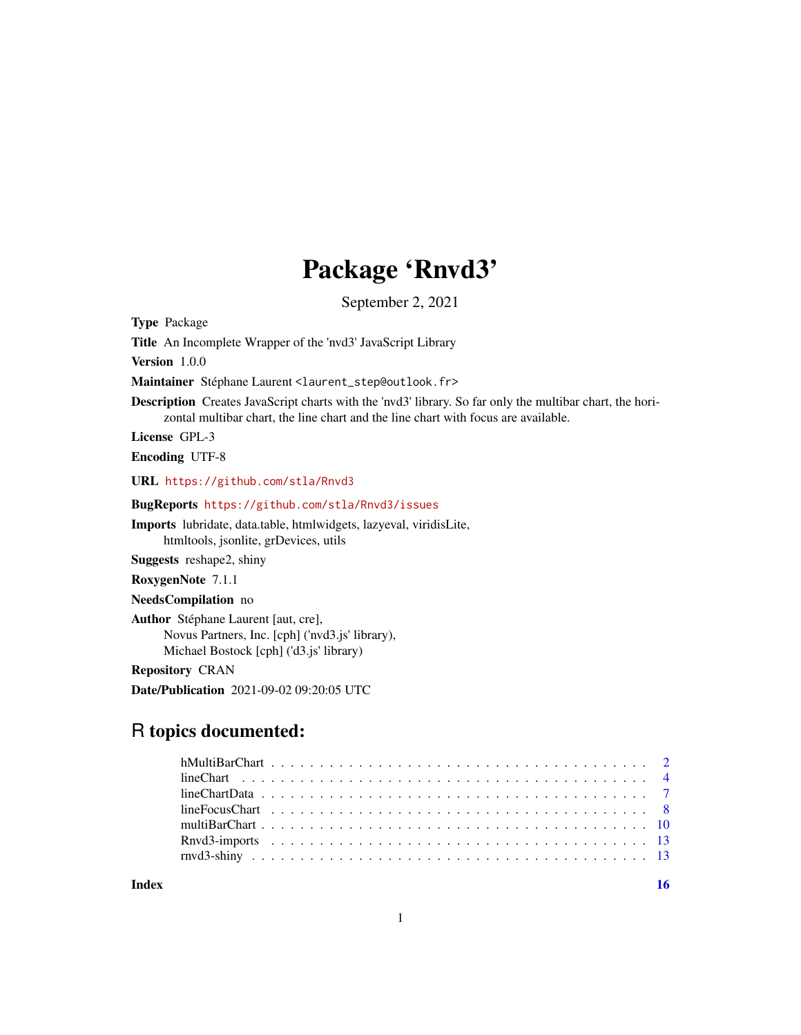## Package 'Rnvd3'

September 2, 2021

Title An Incomplete Wrapper of the 'nvd3' JavaScript Library Version 1.0.0 Maintainer Stéphane Laurent <laurent\_step@outlook.fr> Description Creates JavaScript charts with the 'nvd3' library. So far only the multibar chart, the horizontal multibar chart, the line chart and the line chart with focus are available. License GPL-3 Encoding UTF-8 URL <https://github.com/stla/Rnvd3> BugReports <https://github.com/stla/Rnvd3/issues> Imports lubridate, data.table, htmlwidgets, lazyeval, viridisLite, htmltools, jsonlite, grDevices, utils Suggests reshape2, shiny RoxygenNote 7.1.1 NeedsCompilation no Author Stéphane Laurent [aut, cre], Novus Partners, Inc. [cph] ('nvd3.js' library), Michael Bostock [cph] ('d3.js' library) Repository CRAN Date/Publication 2021-09-02 09:20:05 UTC

### R topics documented:

<span id="page-0-0"></span>Type Package

**Index** and the contract of the contract of the contract of the contract of the contract of the contract of the contract of the contract of the contract of the contract of the contract of the contract of the contract of th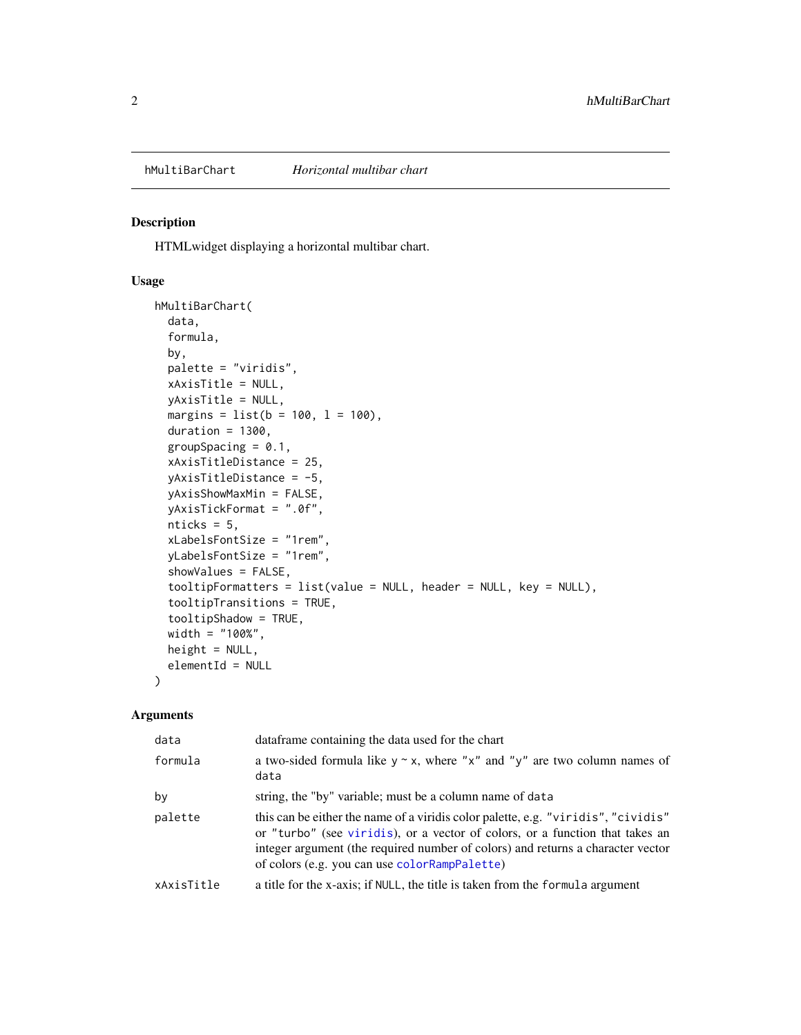#### <span id="page-1-0"></span>Description

HTMLwidget displaying a horizontal multibar chart.

#### Usage

```
hMultiBarChart(
  data,
  formula,
  by,
  palette = "viridis",
 xAxisTitle = NULL,
  yAxisTitle = NULL,
 margins = list(b = 100, 1 = 100),
  duration = 1300,
  groupSpacing = 0.1,
  xAxisTitleDistance = 25,
  yAxisTitleDistance = -5,
 yAxisShowMaxMin = FALSE,
 yAxisTickFormat = ".0f",
  nticks = 5,
  xLabelsFontSize = "1rem",
  yLabelsFontSize = "1rem",
  showValues = FALSE,
  tooltipFormatters = list(value = NULL, header = NULL, key = NULL),
  tooltipTransitions = TRUE,
  tooltipShadow = TRUE,
 width = "100%",
  height = NULL,elementId = NULL\mathcal{L}
```

| data       | data frame containing the data used for the chart                                                                                                                                                                                                                                                     |
|------------|-------------------------------------------------------------------------------------------------------------------------------------------------------------------------------------------------------------------------------------------------------------------------------------------------------|
| formula    | a two-sided formula like $y \sim x$ , where "x" and "y" are two column names of<br>data                                                                                                                                                                                                               |
| by         | string, the "by" variable; must be a column name of data                                                                                                                                                                                                                                              |
| palette    | this can be either the name of a viridis color palette, e.g. "viridis", "cividis"<br>or "turbo" (see viridis), or a vector of colors, or a function that takes an<br>integer argument (the required number of colors) and returns a character vector<br>of colors (e.g. you can use colorRampPalette) |
| xAxisTitle | a title for the x-axis; if NULL, the title is taken from the formula argument                                                                                                                                                                                                                         |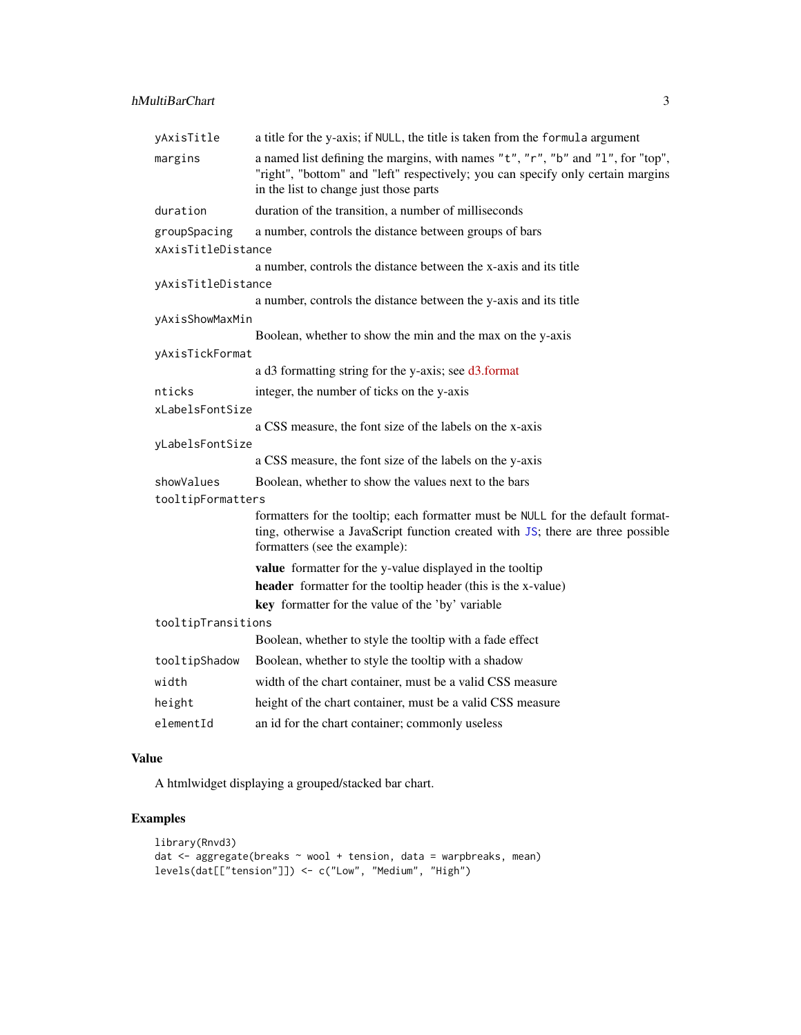#### <span id="page-2-0"></span>hMultiBarChart 3

| yAxisTitle         | a title for the y-axis; if NULL, the title is taken from the formula argument                                                                                                                                |
|--------------------|--------------------------------------------------------------------------------------------------------------------------------------------------------------------------------------------------------------|
| margins            | a named list defining the margins, with names "t", "r", "b" and "l", for "top",<br>"right", "bottom" and "left" respectively; you can specify only certain margins<br>in the list to change just those parts |
| duration           | duration of the transition, a number of milliseconds                                                                                                                                                         |
| groupSpacing       | a number, controls the distance between groups of bars                                                                                                                                                       |
| xAxisTitleDistance |                                                                                                                                                                                                              |
|                    | a number, controls the distance between the x-axis and its title                                                                                                                                             |
| yAxisTitleDistance |                                                                                                                                                                                                              |
|                    | a number, controls the distance between the y-axis and its title                                                                                                                                             |
| yAxisShowMaxMin    |                                                                                                                                                                                                              |
|                    | Boolean, whether to show the min and the max on the y-axis                                                                                                                                                   |
| yAxisTickFormat    |                                                                                                                                                                                                              |
|                    | a d3 formatting string for the y-axis; see d3.format                                                                                                                                                         |
| nticks             | integer, the number of ticks on the y-axis                                                                                                                                                                   |
| xLabelsFontSize    |                                                                                                                                                                                                              |
|                    | a CSS measure, the font size of the labels on the x-axis                                                                                                                                                     |
| yLabelsFontSize    |                                                                                                                                                                                                              |
|                    | a CSS measure, the font size of the labels on the y-axis                                                                                                                                                     |
| showValues         | Boolean, whether to show the values next to the bars                                                                                                                                                         |
| tooltipFormatters  |                                                                                                                                                                                                              |
|                    | formatters for the tooltip; each formatter must be NULL for the default format-<br>ting, otherwise a JavaScript function created with JS; there are three possible<br>formatters (see the example):          |
|                    | value formatter for the y-value displayed in the tooltip                                                                                                                                                     |
|                    | header formatter for the tooltip header (this is the x-value)                                                                                                                                                |
|                    | key formatter for the value of the 'by' variable                                                                                                                                                             |
| tooltipTransitions |                                                                                                                                                                                                              |
|                    | Boolean, whether to style the tooltip with a fade effect                                                                                                                                                     |
| tooltipShadow      | Boolean, whether to style the tooltip with a shadow                                                                                                                                                          |
| width              | width of the chart container, must be a valid CSS measure                                                                                                                                                    |
| height             | height of the chart container, must be a valid CSS measure                                                                                                                                                   |
| elementId          | an id for the chart container; commonly useless                                                                                                                                                              |

#### Value

A htmlwidget displaying a grouped/stacked bar chart.

```
library(Rnvd3)
dat <- aggregate(breaks ~ wool + tension, data = warpbreaks, mean)
levels(dat[["tension"]]) <- c("Low", "Medium", "High")
```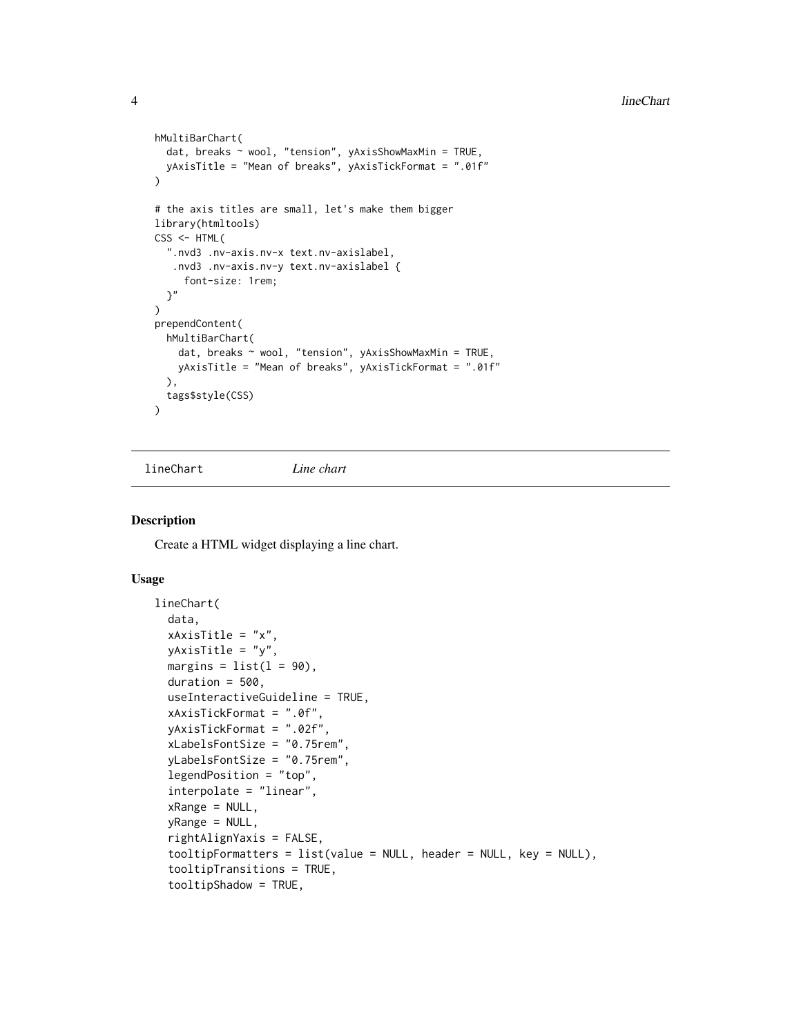```
hMultiBarChart(
  dat, breaks ~ wool, "tension", yAxisShowMaxMin = TRUE,
  yAxisTitle = "Mean of breaks", yAxisTickFormat = ".01f"
\lambda# the axis titles are small, let's make them bigger
library(htmltools)
CSS < - HTML(".nvd3 .nv-axis.nv-x text.nv-axislabel,
   .nvd3 .nv-axis.nv-y text.nv-axislabel {
     font-size: 1rem;
  }"
)
prependContent(
 hMultiBarChart(
    dat, breaks ~ wool, "tension", yAxisShowMaxMin = TRUE,
    yAxisTitle = "Mean of breaks", yAxisTickFormat = ".01f"
  ),
  tags$style(CSS)
\lambda
```
<span id="page-3-1"></span>lineChart *Line chart*

#### **Description**

Create a HTML widget displaying a line chart.

#### Usage

```
lineChart(
  data,
  xAxisTitle = "x",
 yAxisTitle = "y",
 margins = list(1 = 90),
  duration = 500,
  useInteractiveGuideline = TRUE,
  xAxisTickFormat = ".0f",
  yAxisTickFormat = ".02f",
  xLabelsFontSize = "0.75rem",
  yLabelsFontSize = "0.75rem",
  legendPosition = "top",
  interpolate = "linear",
  xRange = NULL,yRange = NULL,
  rightAlignYaxis = FALSE,
  tooltipFormatters = list(value = NULL, header = NULL, key = NULL),
  tooltipTransitions = TRUE,
  tooltipShadow = TRUE,
```
<span id="page-3-0"></span>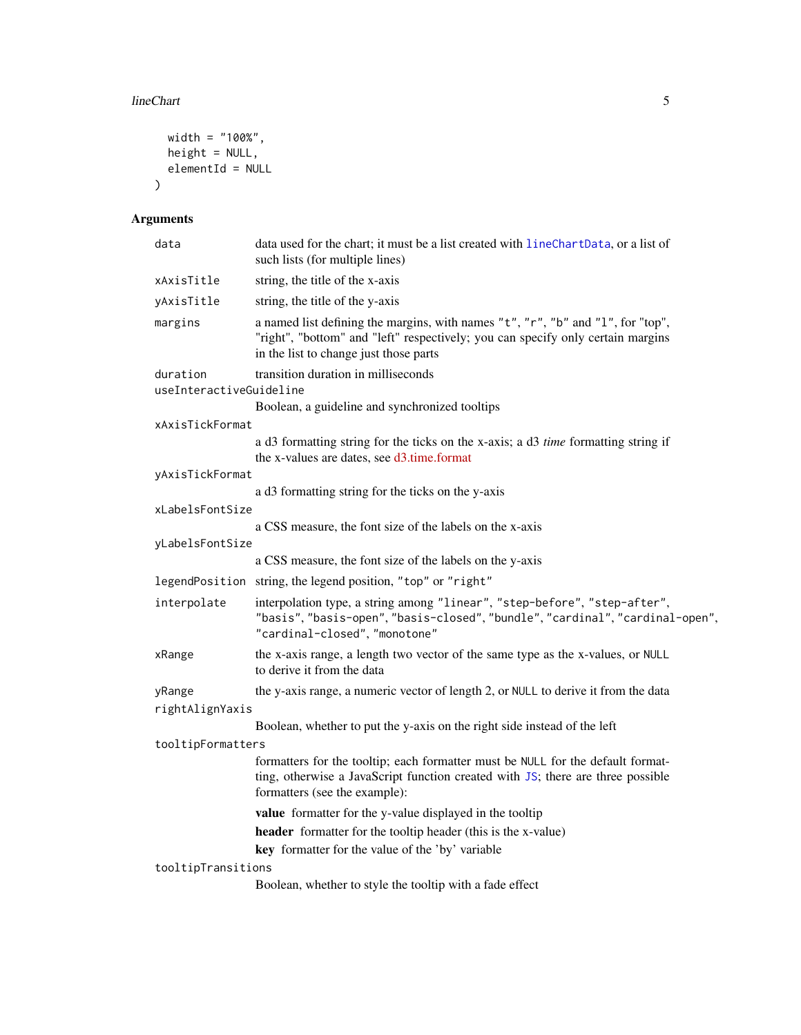#### <span id="page-4-0"></span>lineChart 5

```
width = "100%",
  height = NULL,
  elementId = NULL\lambda
```

| data                                | data used for the chart; it must be a list created with lineChartData, or a list of<br>such lists (for multiple lines)                                                                                       |
|-------------------------------------|--------------------------------------------------------------------------------------------------------------------------------------------------------------------------------------------------------------|
| xAxisTitle                          | string, the title of the x-axis                                                                                                                                                                              |
| yAxisTitle                          | string, the title of the y-axis                                                                                                                                                                              |
| margins                             | a named list defining the margins, with names "t", "r", "b" and "l", for "top",<br>"right", "bottom" and "left" respectively; you can specify only certain margins<br>in the list to change just those parts |
| duration<br>useInteractiveGuideline | transition duration in milliseconds                                                                                                                                                                          |
|                                     | Boolean, a guideline and synchronized tooltips                                                                                                                                                               |
| xAxisTickFormat                     |                                                                                                                                                                                                              |
|                                     | a d3 formatting string for the ticks on the x-axis; a d3 time formatting string if<br>the x-values are dates, see d3.time.format                                                                             |
| yAxisTickFormat                     |                                                                                                                                                                                                              |
|                                     | a d3 formatting string for the ticks on the y-axis                                                                                                                                                           |
| xLabelsFontSize                     | a CSS measure, the font size of the labels on the x-axis                                                                                                                                                     |
| yLabelsFontSize                     |                                                                                                                                                                                                              |
|                                     | a CSS measure, the font size of the labels on the y-axis                                                                                                                                                     |
|                                     | legendPosition string, the legend position, "top" or "right"                                                                                                                                                 |
| interpolate                         | interpolation type, a string among "linear", "step-before", "step-after",<br>"basis", "basis-open", "basis-closed", "bundle", "cardinal", "cardinal-open",<br>"cardinal-closed", "monotone"                  |
| xRange                              | the x-axis range, a length two vector of the same type as the x-values, or NULL<br>to derive it from the data                                                                                                |
| yRange                              | the y-axis range, a numeric vector of length 2, or NULL to derive it from the data                                                                                                                           |
| rightAlignYaxis                     |                                                                                                                                                                                                              |
|                                     | Boolean, whether to put the y-axis on the right side instead of the left                                                                                                                                     |
| tooltipFormatters                   |                                                                                                                                                                                                              |
|                                     | formatters for the tooltip; each formatter must be NULL for the default format-<br>ting, otherwise a JavaScript function created with JS; there are three possible<br>formatters (see the example):          |
|                                     | value formatter for the y-value displayed in the tooltip                                                                                                                                                     |
|                                     | header formatter for the tooltip header (this is the x-value)                                                                                                                                                |
|                                     | key formatter for the value of the 'by' variable                                                                                                                                                             |
| tooltipTransitions                  | Boolean, whether to style the tooltip with a fade effect                                                                                                                                                     |
|                                     |                                                                                                                                                                                                              |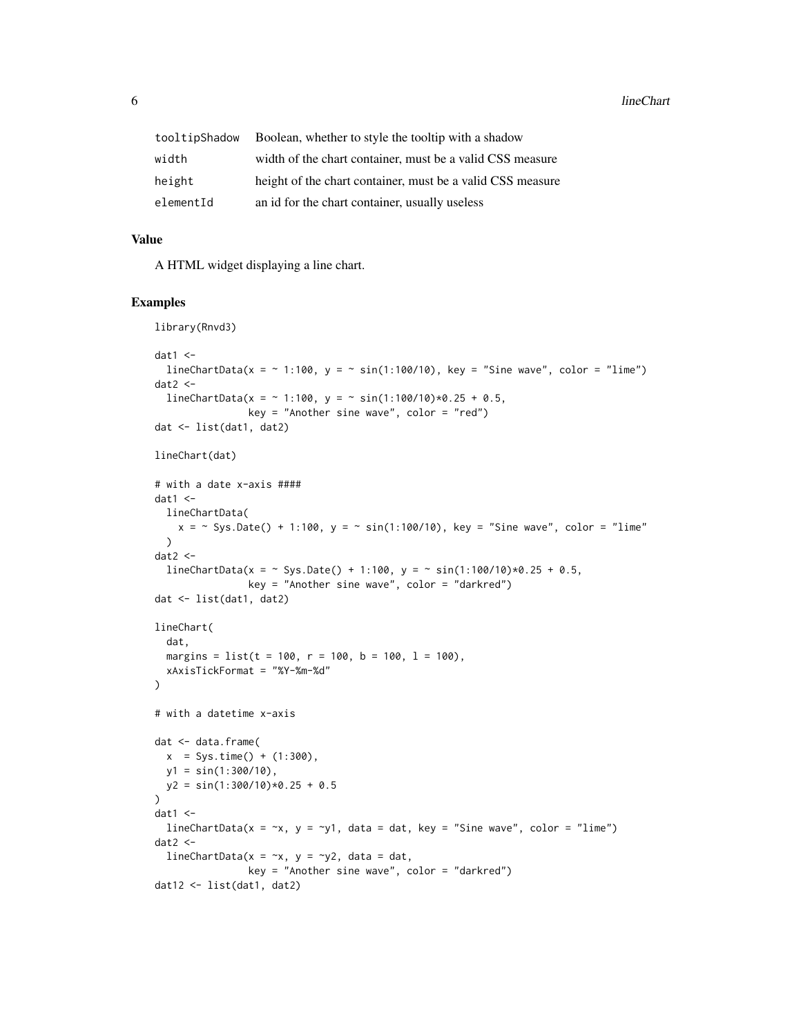| tooltipShadow | Boolean, whether to style the tooltip with a shadow        |
|---------------|------------------------------------------------------------|
| width         | width of the chart container, must be a valid CSS measure  |
| height        | height of the chart container, must be a valid CSS measure |
| elementId     | an id for the chart container, usually useless             |

#### Value

A HTML widget displaying a line chart.

```
library(Rnvd3)
dat1 < -lineChartData(x = \sim 1:100, y = \sim sin(1:100/10), key = "Sine wave", color = "lime")
dat2 < -lineChartData(x = \sim 1:100, y = \sim sin(1:100/10)*0.25 + 0.5,
                key = "Another sine wave", color = "red")
dat <- list(dat1, dat2)
lineChart(dat)
# with a date x-axis ####
dat1 < -lineChartData(
    x = - Sys.Date() + 1:100, y = - sin(1:100/10), key = "Sine wave", color = "lime"
  \lambdadat2 < -lineChartData(x = ~ Sys.Date() + 1:100, y = ~ sin(1:100/10)*0.25 + 0.5,
                 key = "Another sine wave", color = "darkred")
dat <- list(dat1, dat2)
lineChart(
  dat,
  margins = list(t = 100, r = 100, b = 100, l = 100),
  xAxisTickFormat = "%Y-%m-%d"
)
# with a datetime x-axis
dat <- data.frame(
 x = Sys.time() + (1:300),y1 = sin(1:300/10),
 y2 = sin(1:300/10)*0.25 + 0.5\overline{)}dat1 < -lineChartData(x = \gamma x, y = \gamma 1, data = dat, key = "Sine wave", color = "lime")
dat2 < -lineChartData(x = -x, y = -y2, data = dat,
                key = "Another sine wave", color = "darkred")
dat12 <- list(dat1, dat2)
```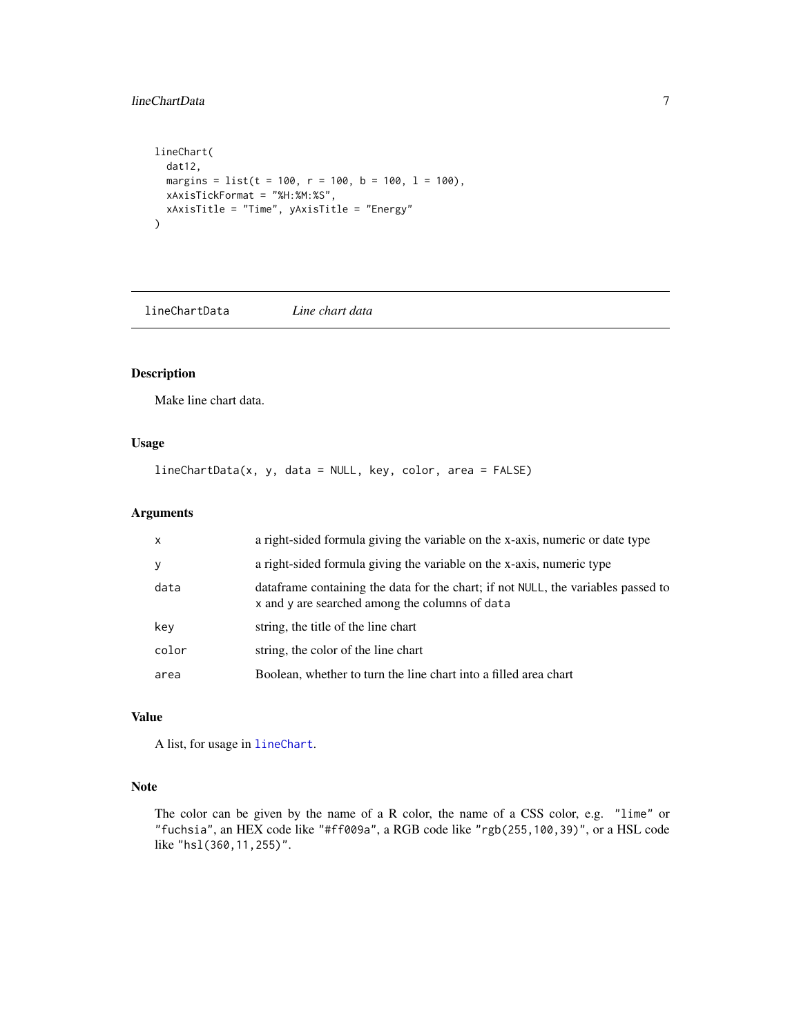#### <span id="page-6-0"></span>lineChartData 7

```
lineChart(
  dat12,
 margins = list(t = 100, r = 100, b = 100, l = 100),
 xAxisTickFormat = "%H:%M:%S",
  xAxisTitle = "Time", yAxisTitle = "Energy"
)
```
<span id="page-6-1"></span>lineChartData *Line chart data*

#### Description

Make line chart data.

#### Usage

lineChartData(x, y, data = NULL, key, color, area = FALSE)

#### Arguments

| $\mathsf{x}$ | a right-sided formula giving the variable on the x-axis, numeric or date type                                                        |
|--------------|--------------------------------------------------------------------------------------------------------------------------------------|
| y            | a right-sided formula giving the variable on the x-axis, numeric type                                                                |
| data         | data frame containing the data for the chart; if not NULL, the variables passed to<br>x and y are searched among the columns of data |
| key          | string, the title of the line chart                                                                                                  |
| color        | string, the color of the line chart                                                                                                  |
| area         | Boolean, whether to turn the line chart into a filled area chart                                                                     |

#### Value

A list, for usage in [lineChart](#page-3-1).

#### Note

The color can be given by the name of a R color, the name of a CSS color, e.g. "lime" or "fuchsia", an HEX code like "#ff009a", a RGB code like "rgb(255,100,39)", or a HSL code like "hsl(360,11,255)".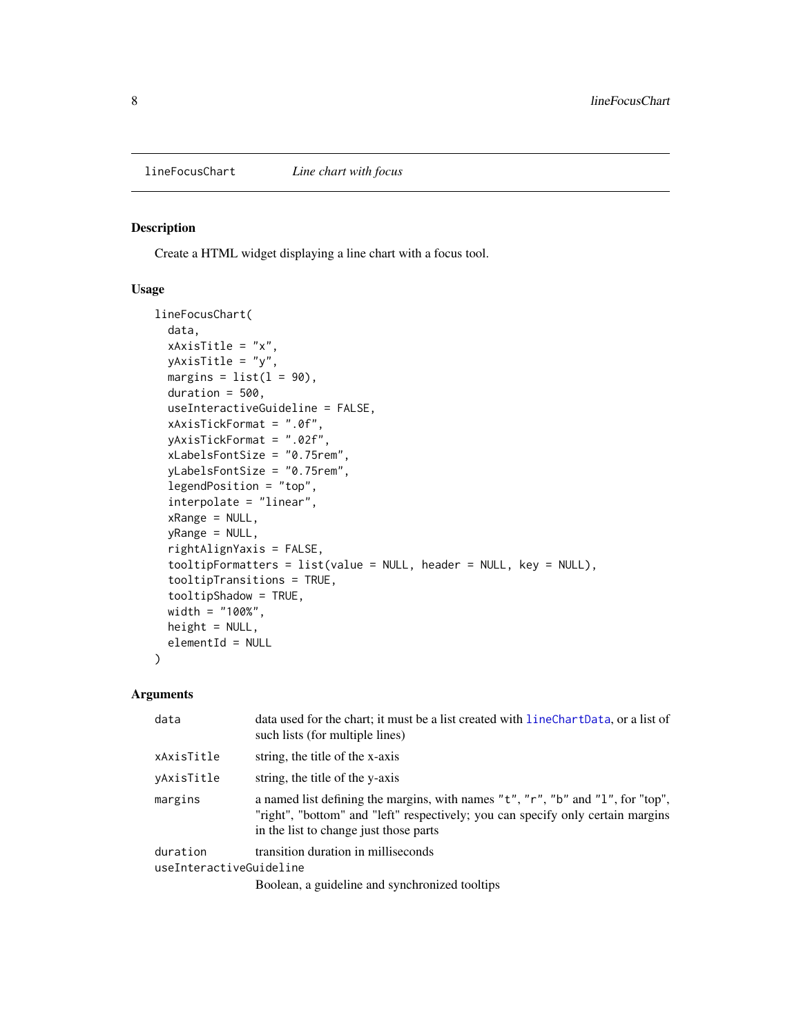#### <span id="page-7-0"></span>Description

Create a HTML widget displaying a line chart with a focus tool.

#### Usage

```
lineFocusChart(
  data,
  xAxisTitle = "x",
  yAxisTitle = "y",
 margins = list(1 = 90),
  duration = 500,
  useInteractiveGuideline = FALSE,
  xAxisTickFormat = ".0f",
  yAxisTickFormat = ".02f",
  xLabelsFontSize = "0.75rem",
  yLabelsFontSize = "0.75rem",
  legendPosition = "top",
  interpolate = "linear",
  xRange = NULL,
  yRange = NULL,
  rightAlignYaxis = FALSE,
  tooltipFormatters = list(value = NULL, header = NULL, key = NULL),
  tooltipTransitions = TRUE,
  tooltipShadow = TRUE,
  width = "100%",
  height = NULL,elementId = NULL)
```

| data                    | data used for the chart; it must be a list created with lineChartData, or a list of<br>such lists (for multiple lines)                                                                                       |  |
|-------------------------|--------------------------------------------------------------------------------------------------------------------------------------------------------------------------------------------------------------|--|
| xAxisTitle              | string, the title of the x-axis                                                                                                                                                                              |  |
| vAxisTitle              | string, the title of the y-axis                                                                                                                                                                              |  |
| margins                 | a named list defining the margins, with names "t", "r", "b" and "l", for "top",<br>"right", "bottom" and "left" respectively; you can specify only certain margins<br>in the list to change just those parts |  |
| duration                | transition duration in milliseconds                                                                                                                                                                          |  |
| useInteractiveGuideline |                                                                                                                                                                                                              |  |
|                         | Boolean, a guideline and synchronized tooltips                                                                                                                                                               |  |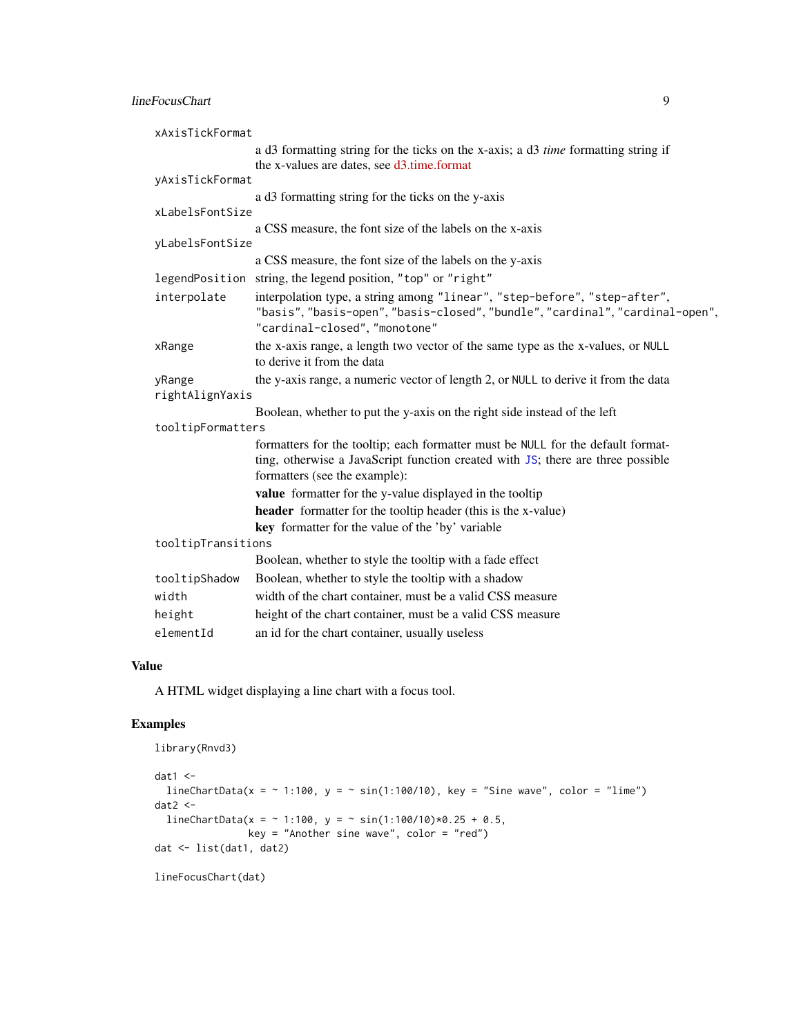#### <span id="page-8-0"></span>lineFocusChart 9

| xAxisTickFormat           |                                                                                                                                                                                                     |  |
|---------------------------|-----------------------------------------------------------------------------------------------------------------------------------------------------------------------------------------------------|--|
|                           | a d3 formatting string for the ticks on the x-axis; a d3 time formatting string if<br>the x-values are dates, see d3.time.format                                                                    |  |
| yAxisTickFormat           |                                                                                                                                                                                                     |  |
|                           | a d3 formatting string for the ticks on the y-axis                                                                                                                                                  |  |
| xLabelsFontSize           |                                                                                                                                                                                                     |  |
|                           | a CSS measure, the font size of the labels on the x-axis                                                                                                                                            |  |
| yLabelsFontSize           |                                                                                                                                                                                                     |  |
|                           | a CSS measure, the font size of the labels on the y-axis                                                                                                                                            |  |
| legendPosition            | string, the legend position, "top" or "right"                                                                                                                                                       |  |
| interpolate               | interpolation type, a string among "linear", "step-before", "step-after",<br>"basis", "basis-open", "basis-closed", "bundle", "cardinal", "cardinal-open",<br>"cardinal-closed", "monotone"         |  |
| xRange                    | the x-axis range, a length two vector of the same type as the x-values, or NULL<br>to derive it from the data                                                                                       |  |
| yRange<br>rightAlignYaxis | the y-axis range, a numeric vector of length 2, or NULL to derive it from the data                                                                                                                  |  |
|                           | Boolean, whether to put the y-axis on the right side instead of the left                                                                                                                            |  |
| tooltipFormatters         |                                                                                                                                                                                                     |  |
|                           | formatters for the tooltip; each formatter must be NULL for the default format-<br>ting, otherwise a JavaScript function created with JS; there are three possible<br>formatters (see the example): |  |
|                           | value formatter for the y-value displayed in the tooltip                                                                                                                                            |  |
|                           | <b>header</b> formatter for the tooltip header (this is the x-value)                                                                                                                                |  |
|                           | key formatter for the value of the 'by' variable                                                                                                                                                    |  |
| tooltipTransitions        |                                                                                                                                                                                                     |  |
|                           | Boolean, whether to style the tooltip with a fade effect                                                                                                                                            |  |
| tooltipShadow             | Boolean, whether to style the tooltip with a shadow                                                                                                                                                 |  |
| width                     | width of the chart container, must be a valid CSS measure                                                                                                                                           |  |
| height                    | height of the chart container, must be a valid CSS measure                                                                                                                                          |  |
| elementId                 | an id for the chart container, usually useless                                                                                                                                                      |  |

#### Value

A HTML widget displaying a line chart with a focus tool.

```
library(Rnvd3)
dat1 < -lineChartData(x = \sim 1:100, y = \sim sin(1:100/10), key = "Sine wave", color = "lime")
dat2 < -lineCharData(x = ~ 1:100, y = ~ sin(1:100/10)*0.25 + 0.5,key = "Another sine wave", color = "red")
dat <- list(dat1, dat2)
```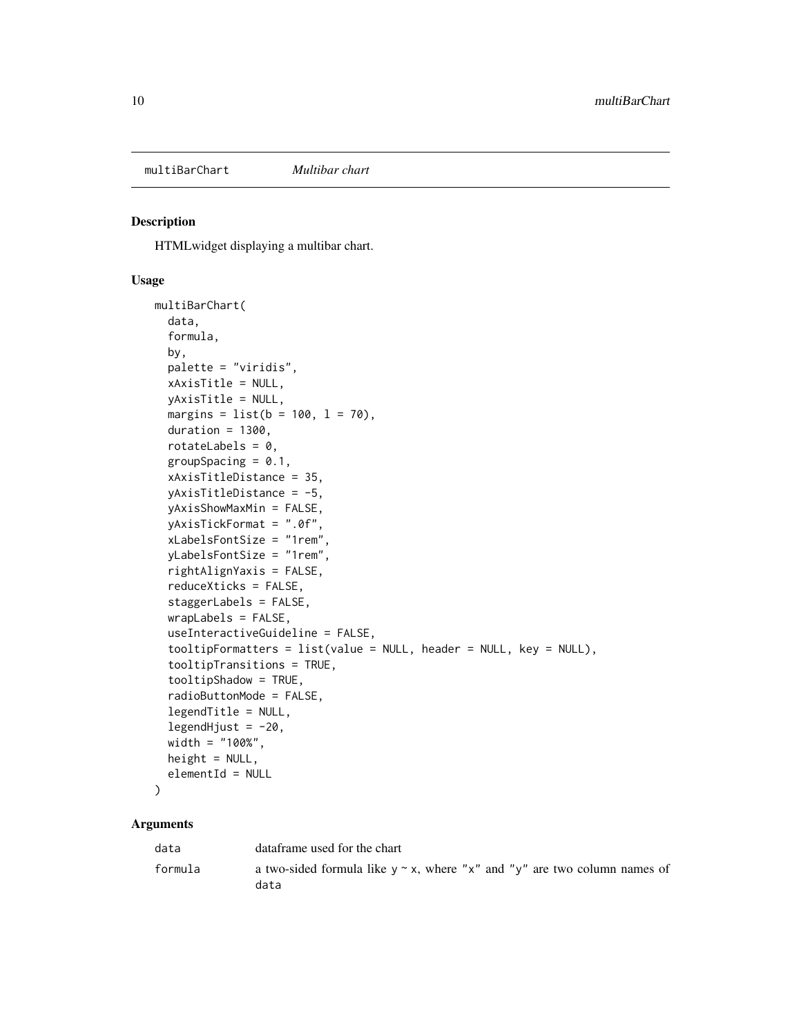<span id="page-9-0"></span>multiBarChart *Multibar chart*

#### Description

HTMLwidget displaying a multibar chart.

#### Usage

```
multiBarChart(
  data,
  formula,
  by,
  palette = "viridis",
  xAxisTitle = NULL,
  yAxisTitle = NULL,
  margins = list(b = 100, l = 70),
  duration = 1300,
  rotateLabels = 0,groupSpacing = 0.1,
  xAxisTitleDistance = 35,
  yAxisTitleDistance = -5,
  yAxisShowMaxMin = FALSE,
  yAxisTickFormat = ".0f",
  xLabelsFontSize = "1rem",
  yLabelsFontSize = "1rem",
  rightAlignYaxis = FALSE,
  reduceXticks = FALSE,
  staggerLabels = FALSE,
  wrapLabels = FALSE,
  useInteractiveGuideline = FALSE,
  tooltipFormatters = list(value = NULL, header = NULL, key = NULL),
  tooltipTransitions = TRUE,
  tooltipShadow = TRUE,
  radioButtonMode = FALSE,
  legendTitle = NULL,
  legendHjust = -20,
  width = "100%",
  height = NULL,elementId = NULL
)
```

| data    | dataframe used for the chart                                                            |
|---------|-----------------------------------------------------------------------------------------|
| formula | a two-sided formula like $y \sim x$ , where "x" and "y" are two column names of<br>data |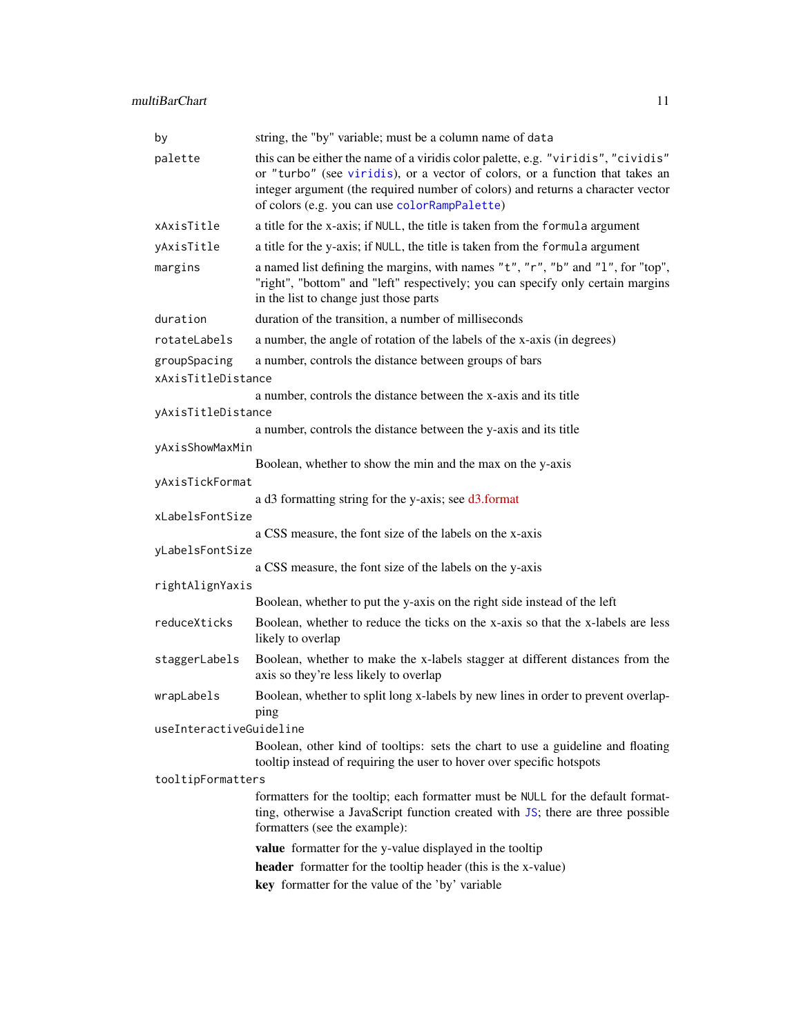<span id="page-10-0"></span>

| by                                 | string, the "by" variable; must be a column name of data                                                                                                                                                                                                                                              |
|------------------------------------|-------------------------------------------------------------------------------------------------------------------------------------------------------------------------------------------------------------------------------------------------------------------------------------------------------|
| palette                            | this can be either the name of a viridis color palette, e.g. "viridis", "cividis"<br>or "turbo" (see viridis), or a vector of colors, or a function that takes an<br>integer argument (the required number of colors) and returns a character vector<br>of colors (e.g. you can use colorRampPalette) |
| xAxisTitle                         | a title for the x-axis; if NULL, the title is taken from the formula argument                                                                                                                                                                                                                         |
| yAxisTitle                         | a title for the y-axis; if NULL, the title is taken from the formula argument                                                                                                                                                                                                                         |
| margins                            | a named list defining the margins, with names "t", "r", "b" and "l", for "top",<br>"right", "bottom" and "left" respectively; you can specify only certain margins<br>in the list to change just those parts                                                                                          |
| duration                           | duration of the transition, a number of milliseconds                                                                                                                                                                                                                                                  |
| rotateLabels                       | a number, the angle of rotation of the labels of the x-axis (in degrees)                                                                                                                                                                                                                              |
| groupSpacing<br>xAxisTitleDistance | a number, controls the distance between groups of bars                                                                                                                                                                                                                                                |
|                                    | a number, controls the distance between the x-axis and its title                                                                                                                                                                                                                                      |
| yAxisTitleDistance                 |                                                                                                                                                                                                                                                                                                       |
|                                    | a number, controls the distance between the y-axis and its title                                                                                                                                                                                                                                      |
| yAxisShowMaxMin                    |                                                                                                                                                                                                                                                                                                       |
| yAxisTickFormat                    | Boolean, whether to show the min and the max on the y-axis                                                                                                                                                                                                                                            |
|                                    | a d3 formatting string for the y-axis; see d3.format                                                                                                                                                                                                                                                  |
| xLabelsFontSize                    |                                                                                                                                                                                                                                                                                                       |
|                                    | a CSS measure, the font size of the labels on the x-axis                                                                                                                                                                                                                                              |
| yLabelsFontSize                    |                                                                                                                                                                                                                                                                                                       |
|                                    | a CSS measure, the font size of the labels on the y-axis                                                                                                                                                                                                                                              |
| rightAlignYaxis                    | Boolean, whether to put the y-axis on the right side instead of the left                                                                                                                                                                                                                              |
| reduceXticks                       | Boolean, whether to reduce the ticks on the x-axis so that the x-labels are less<br>likely to overlap                                                                                                                                                                                                 |
| staggerLabels                      | Boolean, whether to make the x-labels stagger at different distances from the<br>axis so they're less likely to overlap                                                                                                                                                                               |
| wrapLabels                         | Boolean, whether to split long x-labels by new lines in order to prevent overlap-<br>ping                                                                                                                                                                                                             |
| useInteractiveGuideline            |                                                                                                                                                                                                                                                                                                       |
|                                    | Boolean, other kind of tooltips: sets the chart to use a guideline and floating<br>tooltip instead of requiring the user to hover over specific hotspots                                                                                                                                              |
| tooltipFormatters                  |                                                                                                                                                                                                                                                                                                       |
|                                    | formatters for the tooltip; each formatter must be NULL for the default format-<br>ting, otherwise a JavaScript function created with JS; there are three possible<br>formatters (see the example):                                                                                                   |
|                                    | value formatter for the y-value displayed in the tooltip                                                                                                                                                                                                                                              |
|                                    | header formatter for the tooltip header (this is the x-value)                                                                                                                                                                                                                                         |
|                                    | key formatter for the value of the 'by' variable                                                                                                                                                                                                                                                      |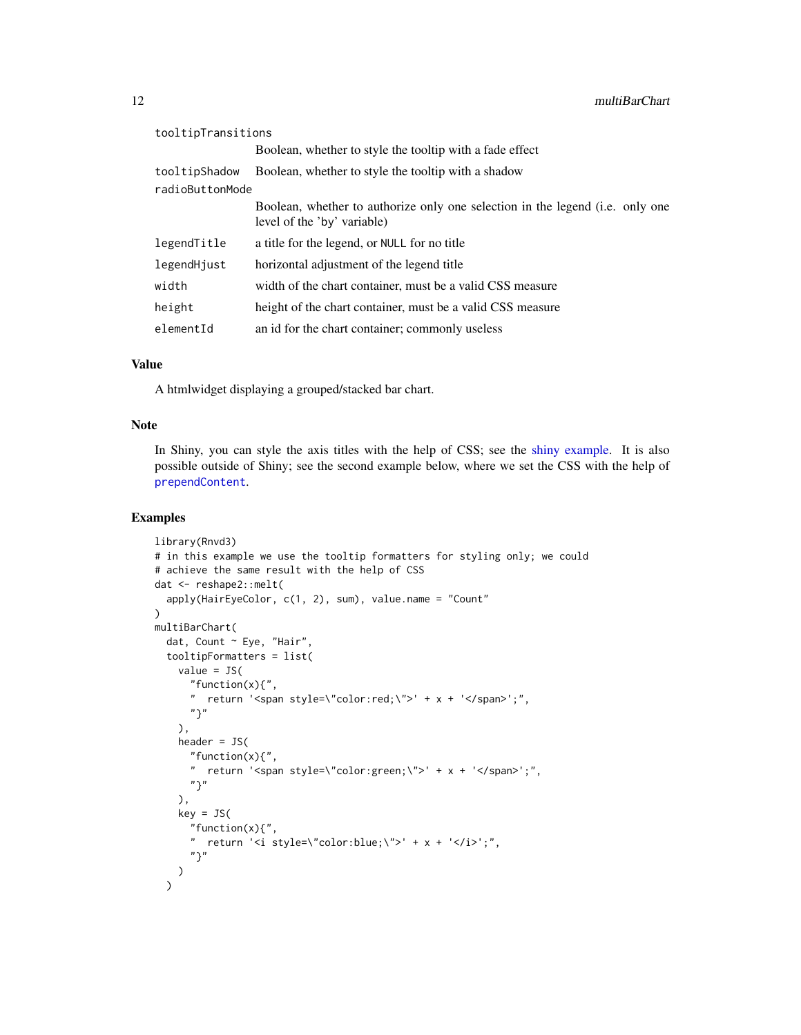<span id="page-11-0"></span>

| tooltipTransitions |                                                                                                              |
|--------------------|--------------------------------------------------------------------------------------------------------------|
|                    | Boolean, whether to style the tooltip with a fade effect                                                     |
| tooltipShadow      | Boolean, whether to style the tooltip with a shadow                                                          |
| radioButtonMode    |                                                                                                              |
|                    | Boolean, whether to authorize only one selection in the legend (i.e. only one<br>level of the 'by' variable) |
| legendTitle        | a title for the legend, or NULL for no title                                                                 |
| legendHjust        | horizontal adjustment of the legend title                                                                    |
| width              | width of the chart container, must be a valid CSS measure                                                    |
| height             | height of the chart container, must be a valid CSS measure                                                   |
| elementId          | an id for the chart container; commonly useless                                                              |

#### Value

A htmlwidget displaying a grouped/stacked bar chart.

#### Note

In Shiny, you can style the axis titles with the help of CSS; see the [shiny example.](#page-12-2) It is also possible outside of Shiny; see the second example below, where we set the CSS with the help of [prependContent](#page-12-1).

```
library(Rnvd3)
# in this example we use the tooltip formatters for styling only; we could
# achieve the same result with the help of CSS
dat <- reshape2::melt(
  apply(HairEyeColor, c(1, 2), sum), value.name = "Count"
\lambdamultiBarChart(
  dat, Count ~ Eye, "Hair",
  tooltipFormatters = list(
   value = JS(
      "function(x){",
      " return '<span style=\"color:red;\">' + x + '</span>';",
      "}"
   ),
   header = JS("function(x){",
      " return '<span style=\"color:green;\">' + x + '</span>';",
      "}"
   ),
   key = JS("function(x){",
      " return '<i style=\"color:blue;\">' + x + '</i>';",
      "}"
   )
  \mathcal{L}
```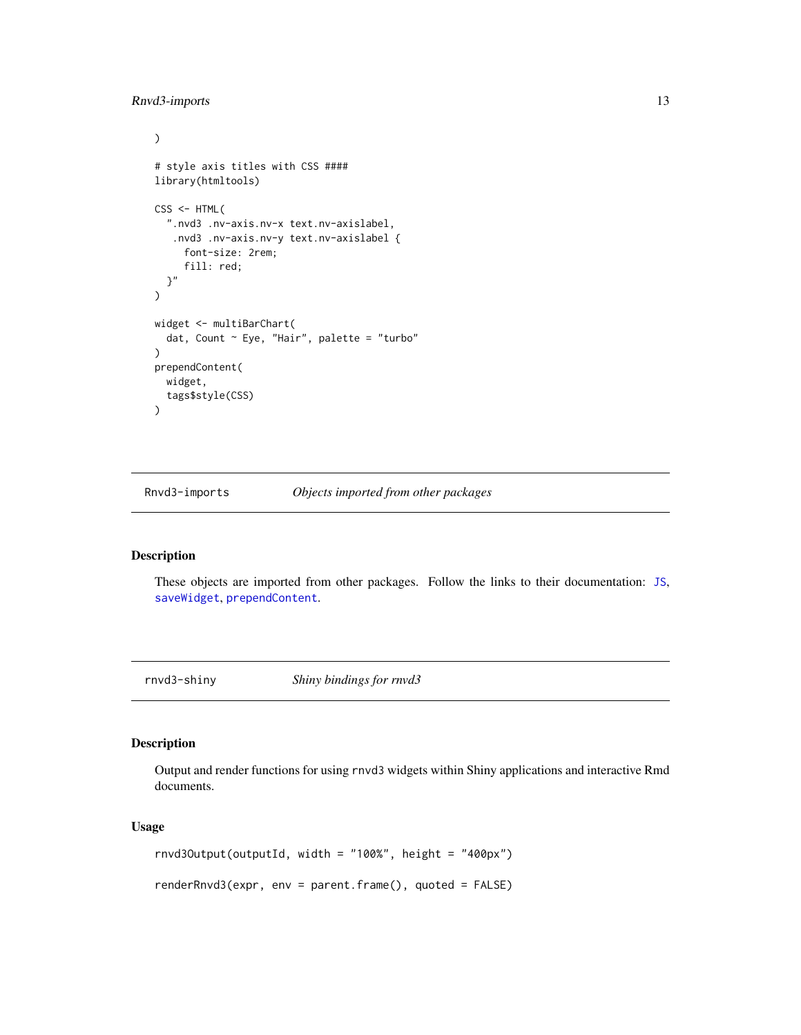#### <span id="page-12-0"></span>Rnvd3-imports 13

```
\mathcal{L}# style axis titles with CSS ####
library(htmltools)
CSS \leftarrow \text{HTML}".nvd3 .nv-axis.nv-x text.nv-axislabel,
   .nvd3 .nv-axis.nv-y text.nv-axislabel {
     font-size: 2rem;
     fill: red;
  }"
)
widget <- multiBarChart(
  dat, Count ~ Eye, "Hair", palette = "turbo"
)
prependContent(
  widget,
  tags$style(CSS)
\mathcal{L}
```
Rnvd3-imports *Objects imported from other packages*

#### <span id="page-12-1"></span>Description

These objects are imported from other packages. Follow the links to their documentation: [JS](#page-12-1), [saveWidget](#page-12-1), [prependContent](#page-12-1).

rnvd3-shiny *Shiny bindings for rnvd3*

#### <span id="page-12-2"></span>Description

Output and render functions for using rnvd3 widgets within Shiny applications and interactive Rmd documents.

#### Usage

rnvd3Output(outputId, width = "100%", height = "400px") renderRnvd3(expr, env = parent.frame(), quoted = FALSE)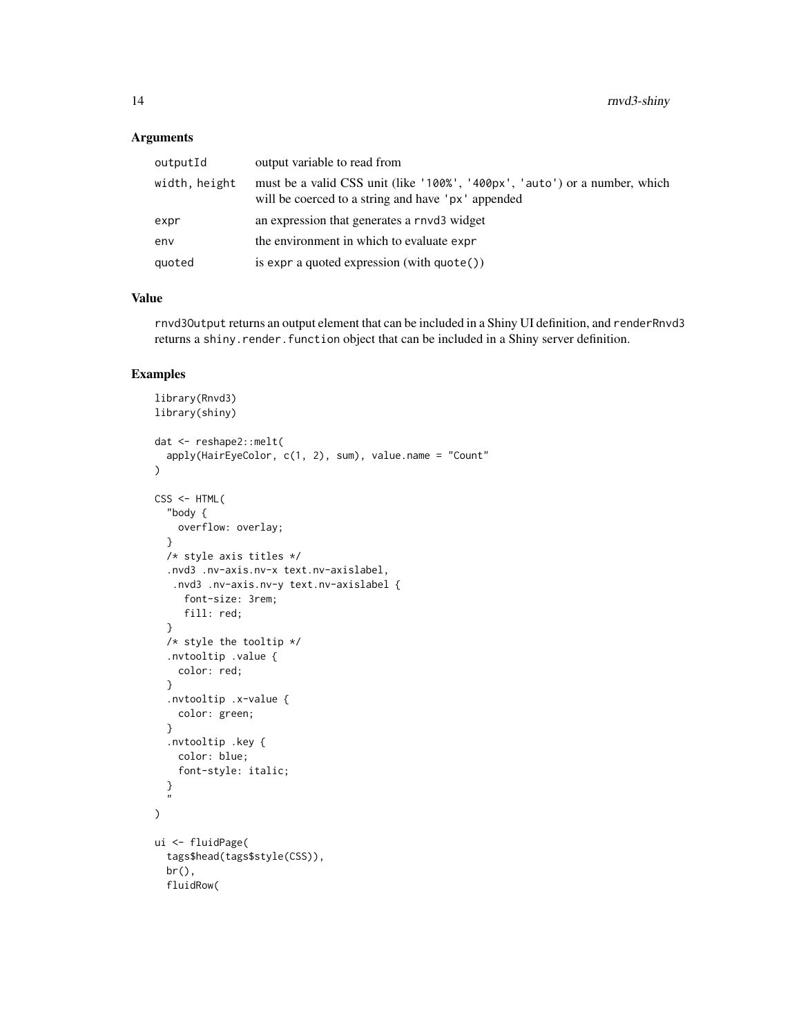#### Arguments

| outputId      | output variable to read from                                                                                                     |
|---------------|----------------------------------------------------------------------------------------------------------------------------------|
| width, height | must be a valid CSS unit (like '100%', '400px', 'auto') or a number, which<br>will be coerced to a string and have 'px' appended |
| expr          | an expression that generates a rnyd3 widget                                                                                      |
| env           | the environment in which to evaluate expr                                                                                        |
| quoted        | is expr a quoted expression (with quote())                                                                                       |

#### Value

rnvd3Output returns an output element that can be included in a Shiny UI definition, and renderRnvd3 returns a shiny.render.function object that can be included in a Shiny server definition.

```
library(Rnvd3)
library(shiny)
dat <- reshape2::melt(
  apply(HairEyeColor, c(1, 2), sum), value.name = "Count"
\lambdaCSS <- HTML(
  "body {
   overflow: overlay;
  }
  /* style axis titles */
  .nvd3 .nv-axis.nv-x text.nv-axislabel,
   .nvd3 .nv-axis.nv-y text.nv-axislabel {
     font-size: 3rem;
     fill: red;
  }
  /* style the tooltip */
  .nvtooltip .value {
   color: red;
  }
  .nvtooltip .x-value {
   color: green;
  }
  .nvtooltip .key {
   color: blue;
   font-style: italic;
  }
  Б,
)
ui <- fluidPage(
  tags$head(tags$style(CSS)),
  br(),
  fluidRow(
```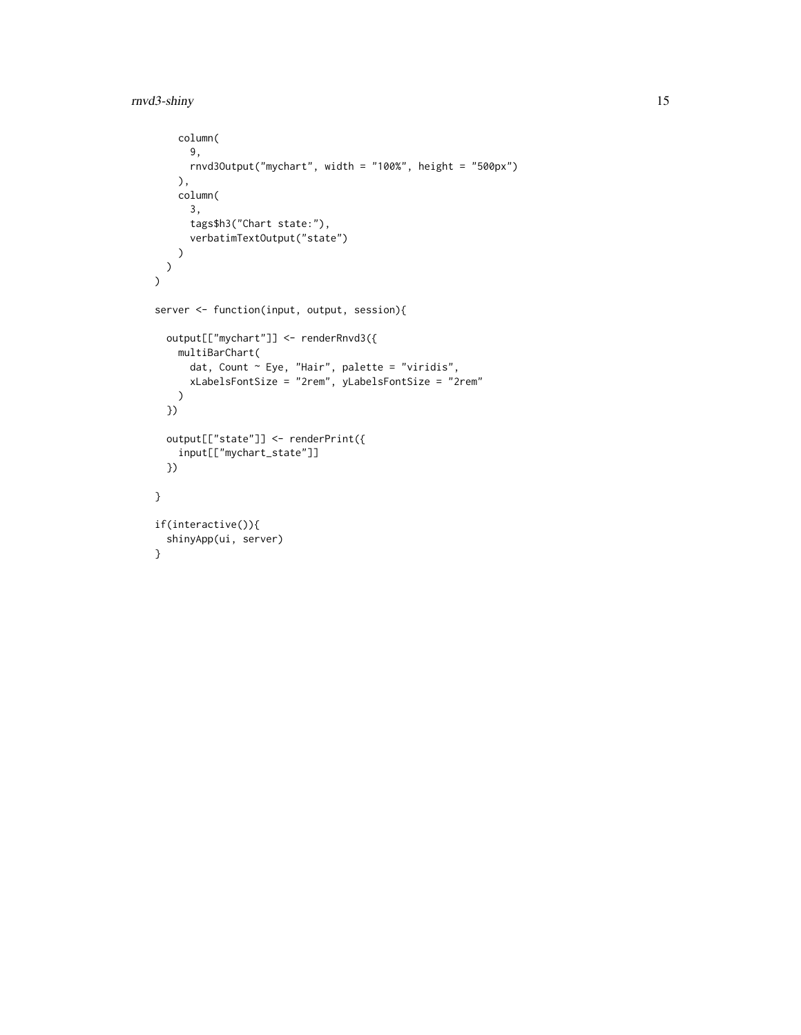```
column(
      9,
     rnvd3Output("mychart", width = "100%", height = "500px")
   ),
   column(
     3,
      tags$h3("Chart state:"),
      verbatimTextOutput("state")
   )
 )
\mathcal{L}server <- function(input, output, session){
 output[["mychart"]] <- renderRnvd3({
   multiBarChart(
      dat, Count \sim Eye, "Hair", palette = "viridis",
      xLabelsFontSize = "2rem", yLabelsFontSize = "2rem"
   )
  })
  output[["state"]] <- renderPrint({
   input[["mychart_state"]]
  })
}
if(interactive()){
 shinyApp(ui, server)
}
```